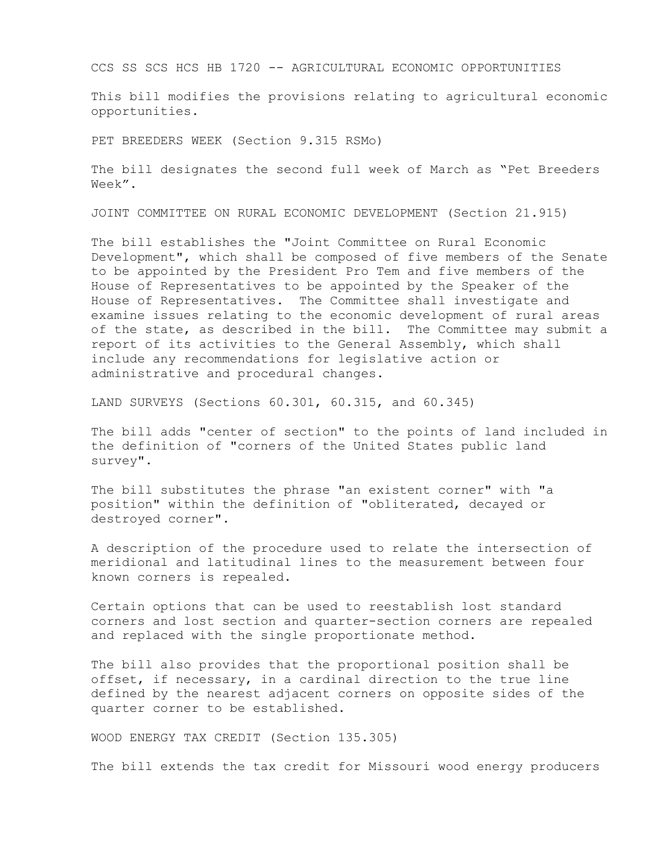CCS SS SCS HCS HB 1720 -- AGRICULTURAL ECONOMIC OPPORTUNITIES

This bill modifies the provisions relating to agricultural economic opportunities.

PET BREEDERS WEEK (Section 9.315 RSMo)

The bill designates the second full week of March as "Pet Breeders Week".

JOINT COMMITTEE ON RURAL ECONOMIC DEVELOPMENT (Section 21.915)

The bill establishes the "Joint Committee on Rural Economic Development", which shall be composed of five members of the Senate to be appointed by the President Pro Tem and five members of the House of Representatives to be appointed by the Speaker of the House of Representatives. The Committee shall investigate and examine issues relating to the economic development of rural areas of the state, as described in the bill. The Committee may submit a report of its activities to the General Assembly, which shall include any recommendations for legislative action or administrative and procedural changes.

LAND SURVEYS (Sections 60.301, 60.315, and 60.345)

The bill adds "center of section" to the points of land included in the definition of "corners of the United States public land survey".

The bill substitutes the phrase "an existent corner" with "a position" within the definition of "obliterated, decayed or destroyed corner".

A description of the procedure used to relate the intersection of meridional and latitudinal lines to the measurement between four known corners is repealed.

Certain options that can be used to reestablish lost standard corners and lost section and quarter-section corners are repealed and replaced with the single proportionate method.

The bill also provides that the proportional position shall be offset, if necessary, in a cardinal direction to the true line defined by the nearest adjacent corners on opposite sides of the quarter corner to be established.

WOOD ENERGY TAX CREDIT (Section 135.305)

The bill extends the tax credit for Missouri wood energy producers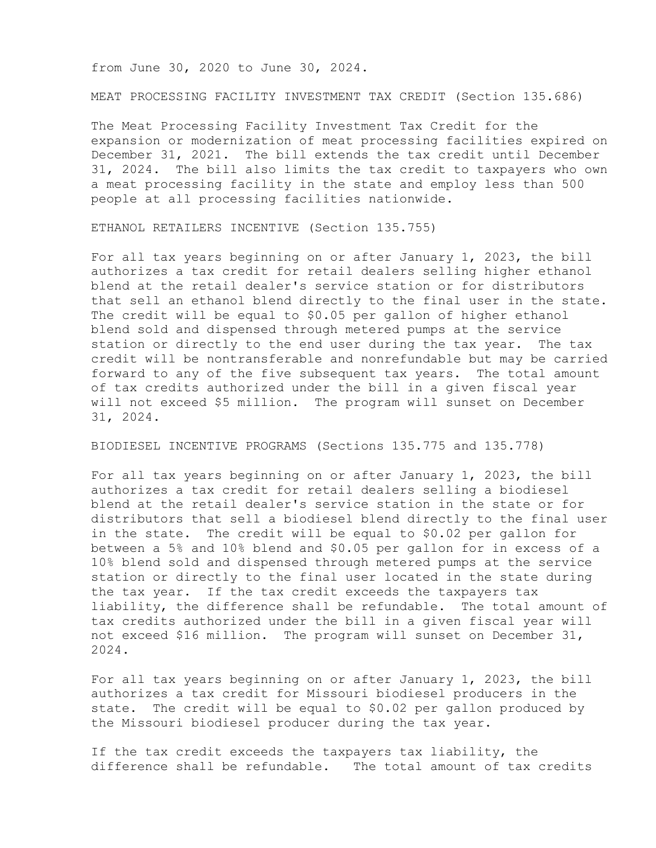from June 30, 2020 to June 30, 2024.

MEAT PROCESSING FACILITY INVESTMENT TAX CREDIT (Section 135.686)

The Meat Processing Facility Investment Tax Credit for the expansion or modernization of meat processing facilities expired on December 31, 2021. The bill extends the tax credit until December 31, 2024. The bill also limits the tax credit to taxpayers who own a meat processing facility in the state and employ less than 500 people at all processing facilities nationwide.

ETHANOL RETAILERS INCENTIVE (Section 135.755)

For all tax years beginning on or after January 1, 2023, the bill authorizes a tax credit for retail dealers selling higher ethanol blend at the retail dealer's service station or for distributors that sell an ethanol blend directly to the final user in the state. The credit will be equal to \$0.05 per gallon of higher ethanol blend sold and dispensed through metered pumps at the service station or directly to the end user during the tax year. The tax credit will be nontransferable and nonrefundable but may be carried forward to any of the five subsequent tax years. The total amount of tax credits authorized under the bill in a given fiscal year will not exceed \$5 million. The program will sunset on December 31, 2024.

BIODIESEL INCENTIVE PROGRAMS (Sections 135.775 and 135.778)

For all tax years beginning on or after January 1, 2023, the bill authorizes a tax credit for retail dealers selling a biodiesel blend at the retail dealer's service station in the state or for distributors that sell a biodiesel blend directly to the final user in the state. The credit will be equal to \$0.02 per gallon for between a 5% and 10% blend and \$0.05 per gallon for in excess of a 10% blend sold and dispensed through metered pumps at the service station or directly to the final user located in the state during the tax year. If the tax credit exceeds the taxpayers tax liability, the difference shall be refundable. The total amount of tax credits authorized under the bill in a given fiscal year will not exceed \$16 million. The program will sunset on December 31, 2024.

For all tax years beginning on or after January 1, 2023, the bill authorizes a tax credit for Missouri biodiesel producers in the state. The credit will be equal to \$0.02 per gallon produced by the Missouri biodiesel producer during the tax year.

If the tax credit exceeds the taxpayers tax liability, the difference shall be refundable. The total amount of tax credits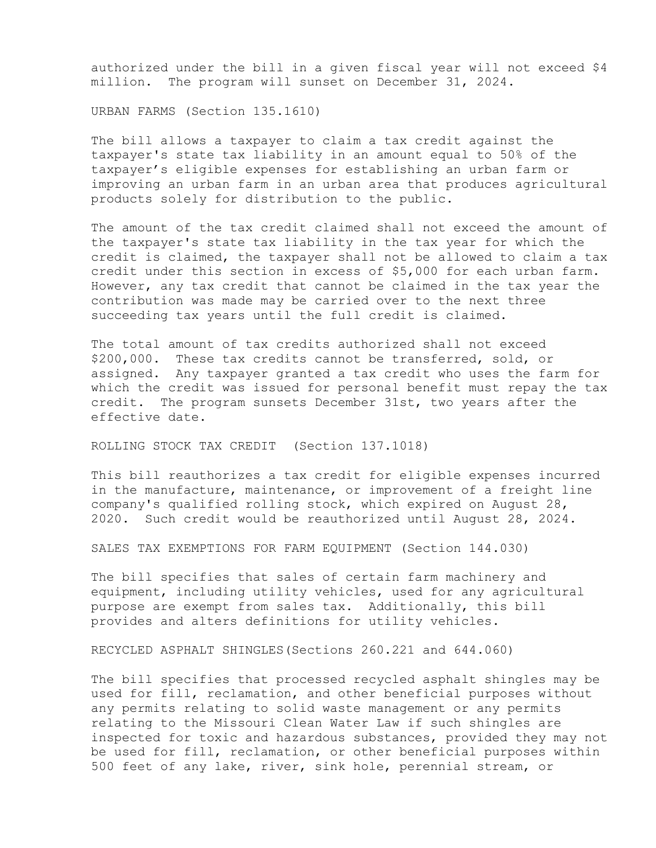authorized under the bill in a given fiscal year will not exceed \$4 million. The program will sunset on December 31, 2024.

URBAN FARMS (Section 135.1610)

The bill allows a taxpayer to claim a tax credit against the taxpayer's state tax liability in an amount equal to 50% of the taxpayer's eligible expenses for establishing an urban farm or improving an urban farm in an urban area that produces agricultural products solely for distribution to the public.

The amount of the tax credit claimed shall not exceed the amount of the taxpayer's state tax liability in the tax year for which the credit is claimed, the taxpayer shall not be allowed to claim a tax credit under this section in excess of \$5,000 for each urban farm. However, any tax credit that cannot be claimed in the tax year the contribution was made may be carried over to the next three succeeding tax years until the full credit is claimed.

The total amount of tax credits authorized shall not exceed \$200,000. These tax credits cannot be transferred, sold, or assigned. Any taxpayer granted a tax credit who uses the farm for which the credit was issued for personal benefit must repay the tax credit. The program sunsets December 31st, two years after the effective date.

ROLLING STOCK TAX CREDIT (Section 137.1018)

This bill reauthorizes a tax credit for eligible expenses incurred in the manufacture, maintenance, or improvement of a freight line company's qualified rolling stock, which expired on August 28, 2020. Such credit would be reauthorized until August 28, 2024.

SALES TAX EXEMPTIONS FOR FARM EQUIPMENT (Section 144.030)

The bill specifies that sales of certain farm machinery and equipment, including utility vehicles, used for any agricultural purpose are exempt from sales tax. Additionally, this bill provides and alters definitions for utility vehicles.

RECYCLED ASPHALT SHINGLES(Sections 260.221 and 644.060)

The bill specifies that processed recycled asphalt shingles may be used for fill, reclamation, and other beneficial purposes without any permits relating to solid waste management or any permits relating to the Missouri Clean Water Law if such shingles are inspected for toxic and hazardous substances, provided they may not be used for fill, reclamation, or other beneficial purposes within 500 feet of any lake, river, sink hole, perennial stream, or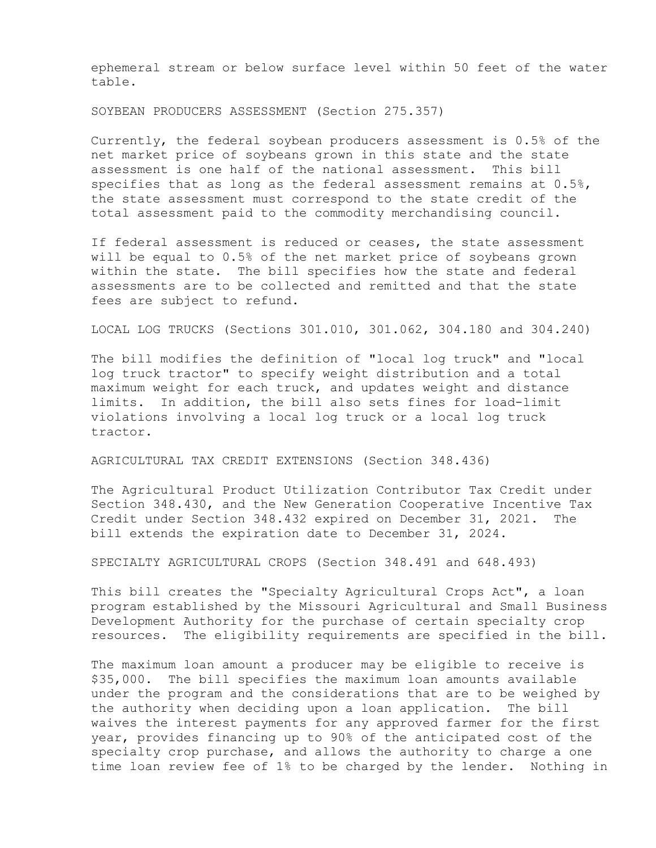ephemeral stream or below surface level within 50 feet of the water table.

SOYBEAN PRODUCERS ASSESSMENT (Section 275.357)

Currently, the federal soybean producers assessment is 0.5% of the net market price of soybeans grown in this state and the state assessment is one half of the national assessment. This bill specifies that as long as the federal assessment remains at  $0.5\%$ , the state assessment must correspond to the state credit of the total assessment paid to the commodity merchandising council.

If federal assessment is reduced or ceases, the state assessment will be equal to 0.5% of the net market price of soybeans grown within the state. The bill specifies how the state and federal assessments are to be collected and remitted and that the state fees are subject to refund.

LOCAL LOG TRUCKS (Sections 301.010, 301.062, 304.180 and 304.240)

The bill modifies the definition of "local log truck" and "local log truck tractor" to specify weight distribution and a total maximum weight for each truck, and updates weight and distance limits. In addition, the bill also sets fines for load-limit violations involving a local log truck or a local log truck tractor.

AGRICULTURAL TAX CREDIT EXTENSIONS (Section 348.436)

The Agricultural Product Utilization Contributor Tax Credit under Section 348.430, and the New Generation Cooperative Incentive Tax Credit under Section 348.432 expired on December 31, 2021. The bill extends the expiration date to December 31, 2024.

SPECIALTY AGRICULTURAL CROPS (Section 348.491 and 648.493)

This bill creates the "Specialty Agricultural Crops Act", a loan program established by the Missouri Agricultural and Small Business Development Authority for the purchase of certain specialty crop resources. The eligibility requirements are specified in the bill.

The maximum loan amount a producer may be eligible to receive is \$35,000. The bill specifies the maximum loan amounts available under the program and the considerations that are to be weighed by the authority when deciding upon a loan application. The bill waives the interest payments for any approved farmer for the first year, provides financing up to 90% of the anticipated cost of the specialty crop purchase, and allows the authority to charge a one time loan review fee of 1% to be charged by the lender. Nothing in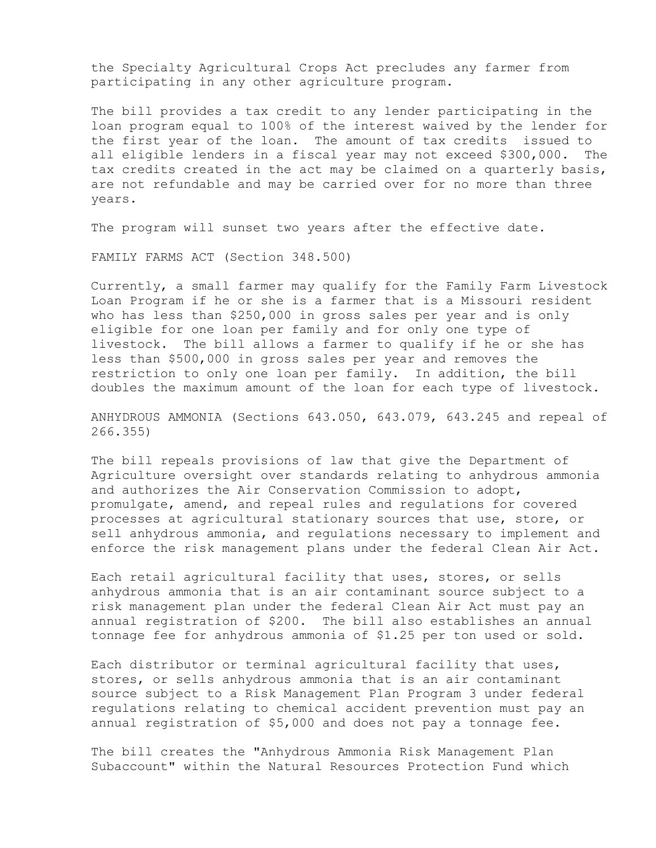the Specialty Agricultural Crops Act precludes any farmer from participating in any other agriculture program.

The bill provides a tax credit to any lender participating in the loan program equal to 100% of the interest waived by the lender for the first year of the loan. The amount of tax credits issued to all eligible lenders in a fiscal year may not exceed \$300,000. The tax credits created in the act may be claimed on a quarterly basis, are not refundable and may be carried over for no more than three years.

The program will sunset two years after the effective date.

FAMILY FARMS ACT (Section 348.500)

Currently, a small farmer may qualify for the Family Farm Livestock Loan Program if he or she is a farmer that is a Missouri resident who has less than \$250,000 in gross sales per year and is only eligible for one loan per family and for only one type of livestock. The bill allows a farmer to qualify if he or she has less than \$500,000 in gross sales per year and removes the restriction to only one loan per family. In addition, the bill doubles the maximum amount of the loan for each type of livestock.

ANHYDROUS AMMONIA (Sections 643.050, 643.079, 643.245 and repeal of 266.355)

The bill repeals provisions of law that give the Department of Agriculture oversight over standards relating to anhydrous ammonia and authorizes the Air Conservation Commission to adopt, promulgate, amend, and repeal rules and regulations for covered processes at agricultural stationary sources that use, store, or sell anhydrous ammonia, and regulations necessary to implement and enforce the risk management plans under the federal Clean Air Act.

Each retail agricultural facility that uses, stores, or sells anhydrous ammonia that is an air contaminant source subject to a risk management plan under the federal Clean Air Act must pay an annual registration of \$200. The bill also establishes an annual tonnage fee for anhydrous ammonia of \$1.25 per ton used or sold.

Each distributor or terminal agricultural facility that uses, stores, or sells anhydrous ammonia that is an air contaminant source subject to a Risk Management Plan Program 3 under federal regulations relating to chemical accident prevention must pay an annual registration of \$5,000 and does not pay a tonnage fee.

The bill creates the "Anhydrous Ammonia Risk Management Plan Subaccount" within the Natural Resources Protection Fund which